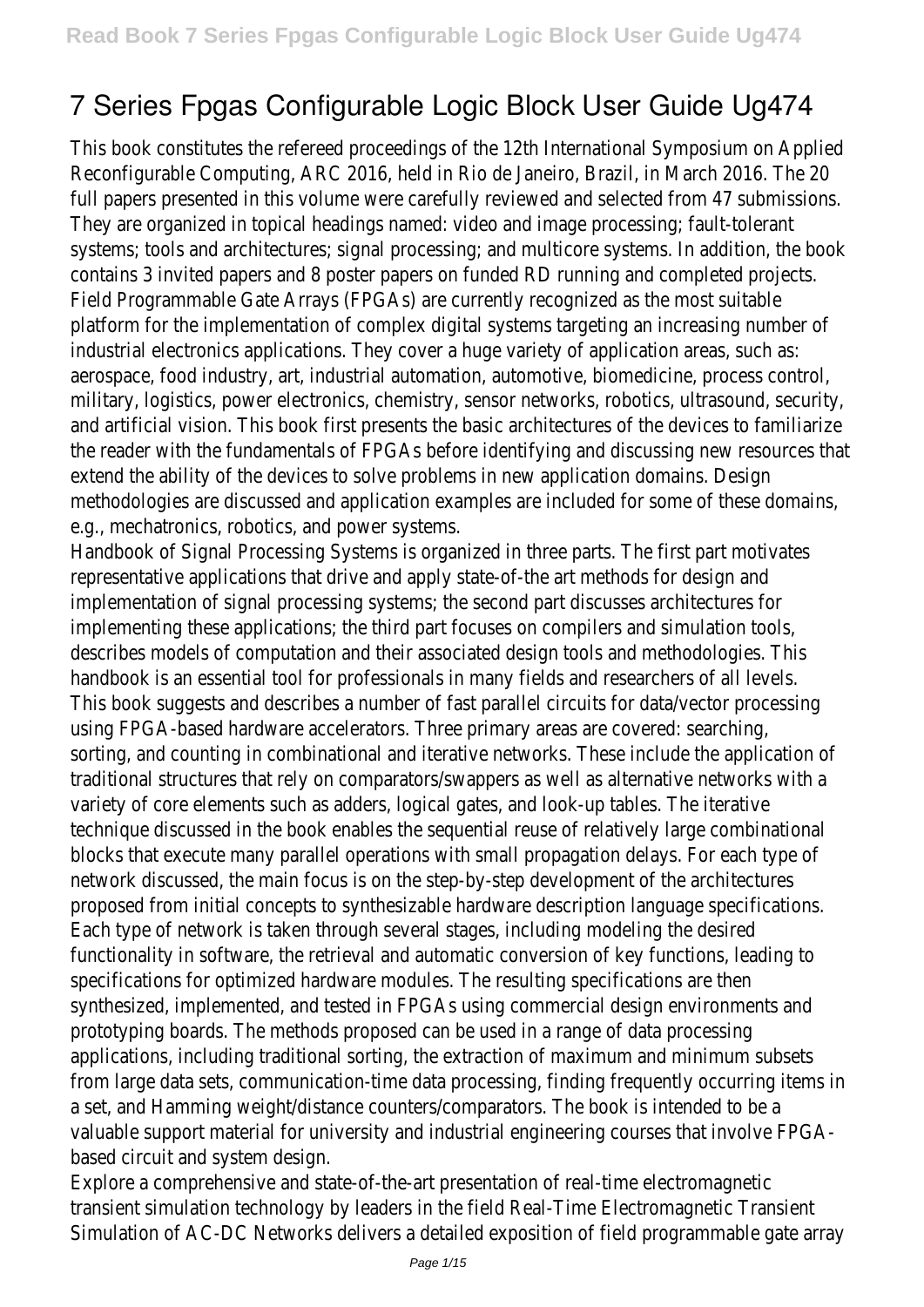# **7 Series Fpgas Configurable Logic Block User Guide Ug474**

This book constitutes the refereed proceedings of the 12th International Symposium on Applied Reconfigurable Computing, ARC 2016, held in Rio de Janeiro, Brazil, in March 2016. The 20 full papers presented in this volume were carefully reviewed and selected from 47 submissions They are organized in topical headings named: video and image processing; fault-tolerant systems; tools and architectures; signal processing; and multicore systems. In addition, the book contains 3 invited papers and 8 poster papers on funded RD running and completed projects. Field Programmable Gate Arrays (FPGAs) are currently recognized as the most suitable platform for the implementation of complex digital systems targeting an increasing number of industrial electronics applications. They cover a huge variety of application areas, such as: aerospace, food industry, art, industrial automation, automotive, biomedicine, process control, military, logistics, power electronics, chemistry, sensor networks, robotics, ultrasound, security, and artificial vision. This book first presents the basic architectures of the devices to familiarize the reader with the fundamentals of FPGAs before identifying and discussing new resources that extend the ability of the devices to solve problems in new application domains. Design methodologies are discussed and application examples are included for some of these domains, e.g., mechatronics, robotics, and power systems.

Handbook of Signal Processing Systems is organized in three parts. The first part motivate representative applications that drive and apply state-of-the art methods for design and implementation of signal processing systems; the second part discusses architectures for implementing these applications; the third part focuses on compilers and simulation tools, describes models of computation and their associated design tools and methodologies. This handbook is an essential tool for professionals in many fields and researchers of all levels. This book suggests and describes a number of fast parallel circuits for data/vector processing using FPGA-based hardware accelerators. Three primary areas are covered: searching, sorting, and counting in combinational and iterative networks. These include the application of traditional structures that rely on comparators/swappers as well as alternative networks with variety of core elements such as adders, logical gates, and look-up tables. The iterative technique discussed in the book enables the sequential reuse of relatively large combinational blocks that execute many parallel operations with small propagation delays. For each type of network discussed, the main focus is on the step-by-step development of the architectures proposed from initial concepts to synthesizable hardware description language specifications. Each type of network is taken through several stages, including modeling the desired functionality in software, the retrieval and automatic conversion of key functions, leading to specifications for optimized hardware modules. The resulting specifications are then synthesized, implemented, and tested in FPGAs using commercial design environments and prototyping boards. The methods proposed can be used in a range of data processing applications, including traditional sorting, the extraction of maximum and minimum subsets from large data sets, communication-time data processing, finding frequently occurring items in a set, and Hamming weight/distance counters/comparators. The book is intended to be a valuable support material for university and industrial engineering courses that involve FPGAbased circuit and system design.

Explore a comprehensive and state-of-the-art presentation of real-time electromagnetic transient simulation technology by leaders in the field Real-Time Electromagnetic Transient Simulation of AC-DC Networks delivers a detailed exposition of field programmable gate array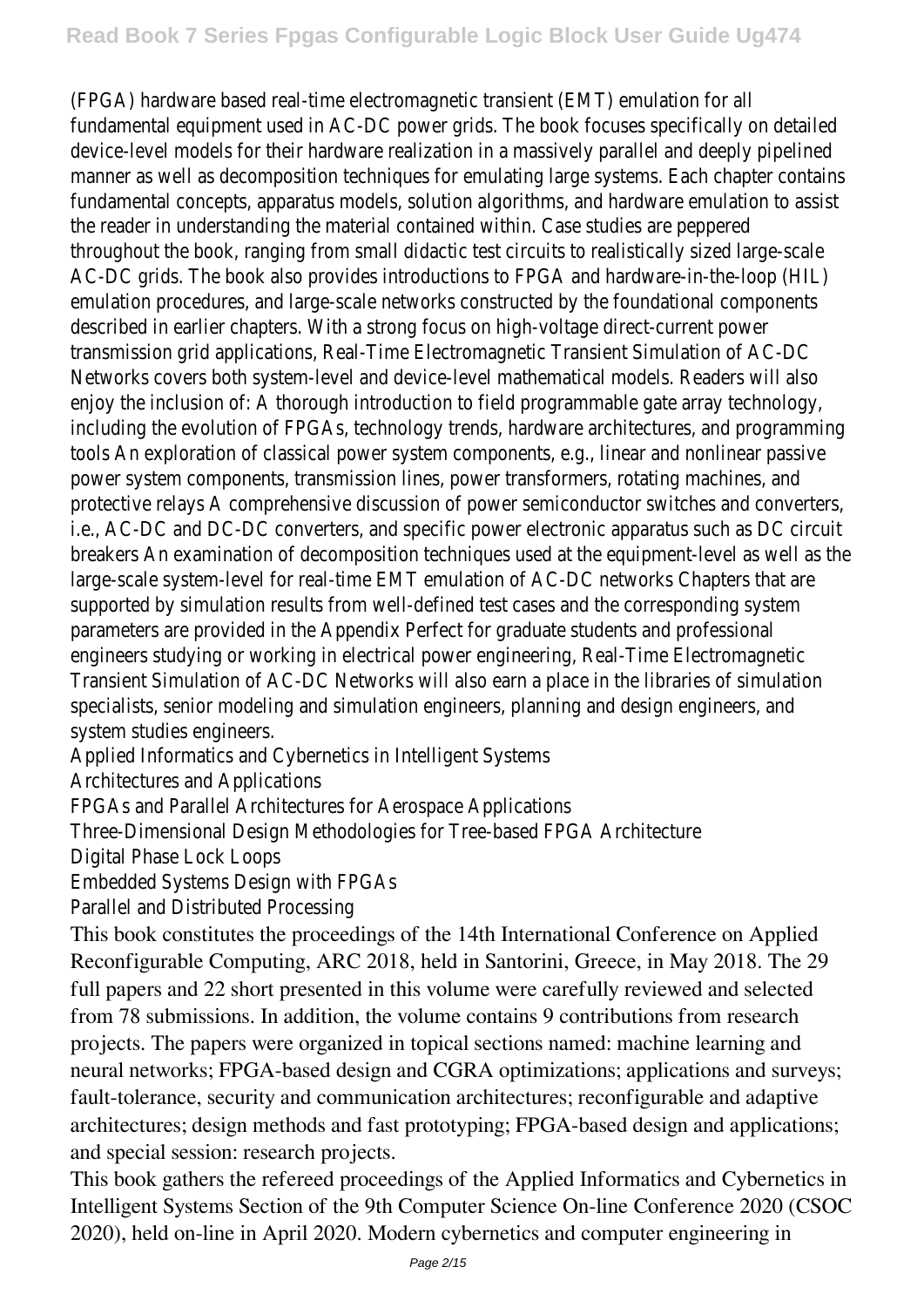(FPGA) hardware based real-time electromagnetic transient (EMT) emulation for all fundamental equipment used in AC-DC power grids. The book focuses specifically on detailed device-level models for their hardware realization in a massively parallel and deeply pipelined manner as well as decomposition techniques for emulating large systems. Each chapter contains fundamental concepts, apparatus models, solution algorithms, and hardware emulation to assist the reader in understanding the material contained within. Case studies are peppered throughout the book, ranging from small didactic test circuits to realistically sized large-scale AC-DC grids. The book also provides introductions to FPGA and hardware-in-the-loop (HIL) emulation procedures, and large-scale networks constructed by the foundational components described in earlier chapters. With a strong focus on high-voltage direct-current powe transmission grid applications, Real-Time Electromagnetic Transient Simulation of AC-DC Networks covers both system-level and device-level mathematical models. Readers will also enjoy the inclusion of: A thorough introduction to field programmable gate array technology, including the evolution of FPGAs, technology trends, hardware architectures, and programming tools An exploration of classical power system components, e.g., linear and nonlinear passive power system components, transmission lines, power transformers, rotating machines, and protective relays A comprehensive discussion of power semiconductor switches and converters i.e., AC-DC and DC-DC converters, and specific power electronic apparatus such as DC circuit breakers An examination of decomposition techniques used at the equipment-level as well as the large-scale system-level for real-time EMT emulation of AC-DC networks Chapters that ar supported by simulation results from well-defined test cases and the corresponding system parameters are provided in the Appendix Perfect for graduate students and professional engineers studying or working in electrical power engineering, Real-Time Electromagnetic Transient Simulation of AC-DC Networks will also earn a place in the libraries of simulation specialists, senior modeling and simulation engineers, planning and design engineers, and system studies engineers.

Applied Informatics and Cybernetics in Intelligent Systems

Architectures and Applications

FPGAs and Parallel Architectures for Aerospace Applications

Three-Dimensional Design Methodologies for Tree-based FPGA Architecture

Digital Phase Lock Loops

Embedded Systems Design with FPGAs

Parallel and Distributed Processing

This book constitutes the proceedings of the 14th International Conference on Applied Reconfigurable Computing, ARC 2018, held in Santorini, Greece, in May 2018. The 29 full papers and 22 short presented in this volume were carefully reviewed and selected from 78 submissions. In addition, the volume contains 9 contributions from research projects. The papers were organized in topical sections named: machine learning and neural networks; FPGA-based design and CGRA optimizations; applications and surveys; fault-tolerance, security and communication architectures; reconfigurable and adaptive architectures; design methods and fast prototyping; FPGA-based design and applications; and special session: research projects.

This book gathers the refereed proceedings of the Applied Informatics and Cybernetics in Intelligent Systems Section of the 9th Computer Science On-line Conference 2020 (CSOC 2020), held on-line in April 2020. Modern cybernetics and computer engineering in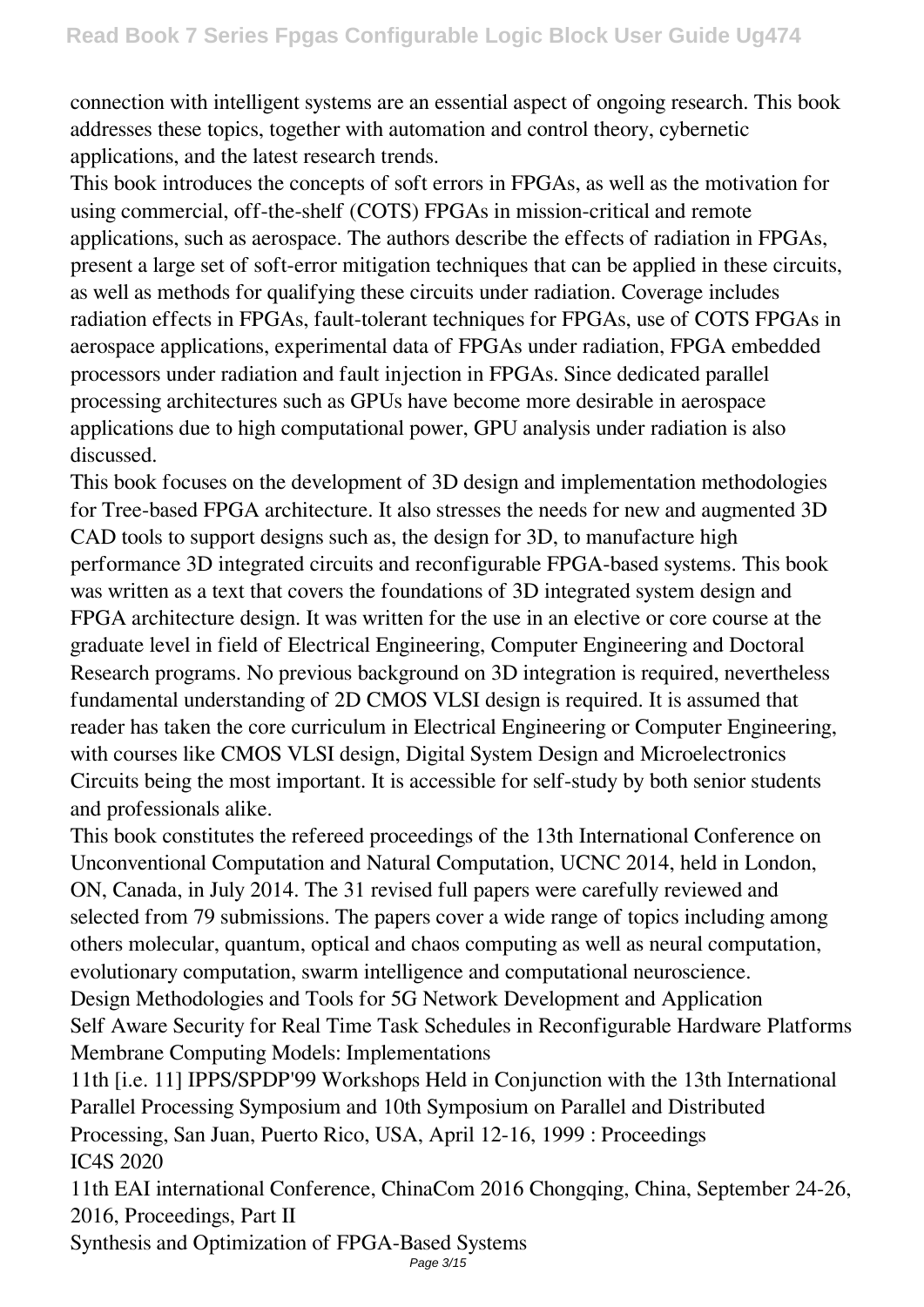connection with intelligent systems are an essential aspect of ongoing research. This book addresses these topics, together with automation and control theory, cybernetic applications, and the latest research trends.

This book introduces the concepts of soft errors in FPGAs, as well as the motivation for using commercial, off-the-shelf (COTS) FPGAs in mission-critical and remote applications, such as aerospace. The authors describe the effects of radiation in FPGAs, present a large set of soft-error mitigation techniques that can be applied in these circuits, as well as methods for qualifying these circuits under radiation. Coverage includes radiation effects in FPGAs, fault-tolerant techniques for FPGAs, use of COTS FPGAs in aerospace applications, experimental data of FPGAs under radiation, FPGA embedded processors under radiation and fault injection in FPGAs. Since dedicated parallel processing architectures such as GPUs have become more desirable in aerospace applications due to high computational power, GPU analysis under radiation is also discussed.

This book focuses on the development of 3D design and implementation methodologies for Tree-based FPGA architecture. It also stresses the needs for new and augmented 3D CAD tools to support designs such as, the design for 3D, to manufacture high performance 3D integrated circuits and reconfigurable FPGA-based systems. This book was written as a text that covers the foundations of 3D integrated system design and FPGA architecture design. It was written for the use in an elective or core course at the graduate level in field of Electrical Engineering, Computer Engineering and Doctoral Research programs. No previous background on 3D integration is required, nevertheless fundamental understanding of 2D CMOS VLSI design is required. It is assumed that reader has taken the core curriculum in Electrical Engineering or Computer Engineering, with courses like CMOS VLSI design, Digital System Design and Microelectronics Circuits being the most important. It is accessible for self-study by both senior students and professionals alike.

This book constitutes the refereed proceedings of the 13th International Conference on Unconventional Computation and Natural Computation, UCNC 2014, held in London, ON, Canada, in July 2014. The 31 revised full papers were carefully reviewed and selected from 79 submissions. The papers cover a wide range of topics including among others molecular, quantum, optical and chaos computing as well as neural computation, evolutionary computation, swarm intelligence and computational neuroscience. Design Methodologies and Tools for 5G Network Development and Application Self Aware Security for Real Time Task Schedules in Reconfigurable Hardware Platforms Membrane Computing Models: Implementations

11th [i.e. 11] IPPS/SPDP'99 Workshops Held in Conjunction with the 13th International Parallel Processing Symposium and 10th Symposium on Parallel and Distributed Processing, San Juan, Puerto Rico, USA, April 12-16, 1999 : Proceedings IC4S 2020

11th EAI international Conference, ChinaCom 2016 Chongqing, China, September 24-26, 2016, Proceedings, Part II

Synthesis and Optimization of FPGA-Based Systems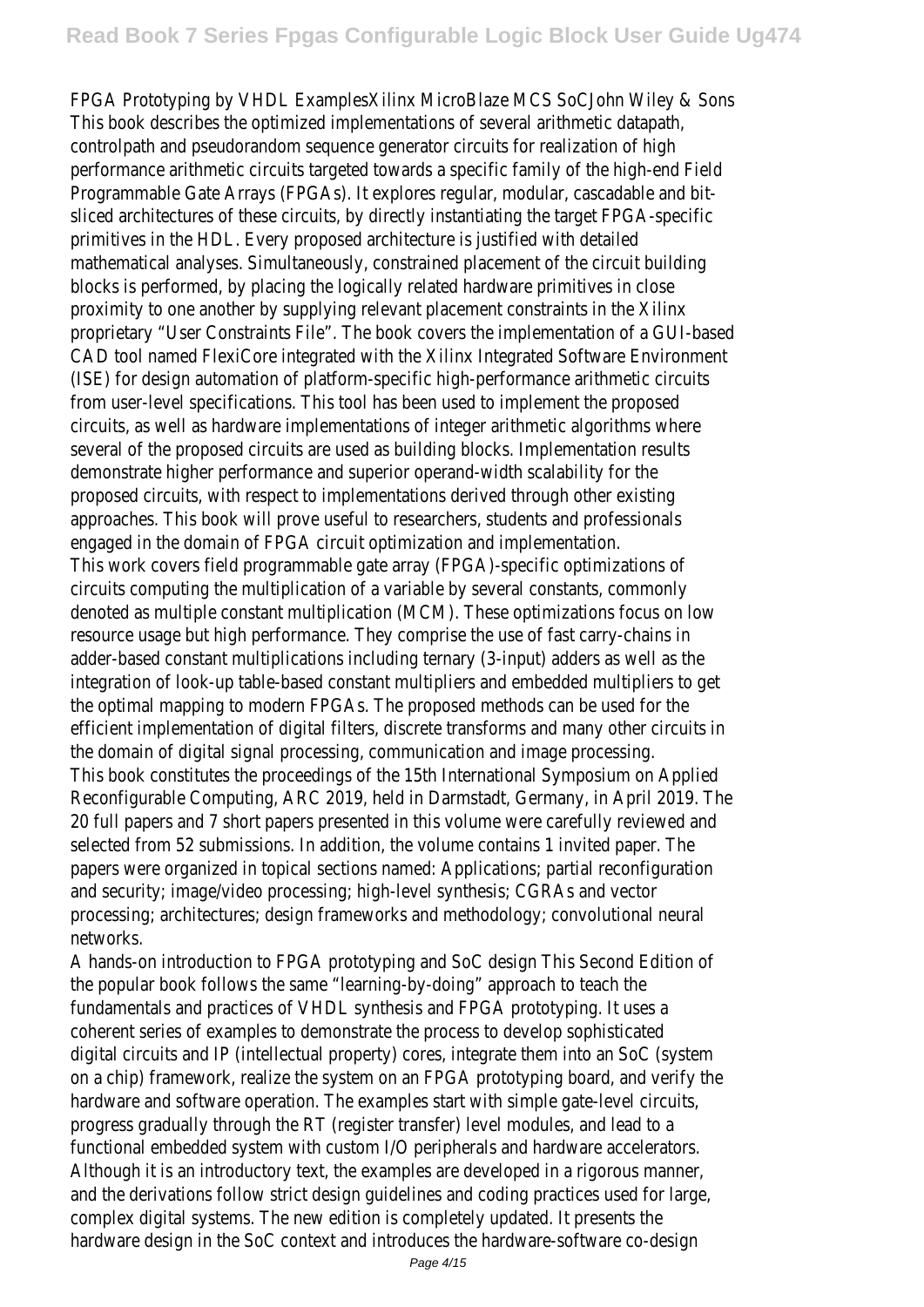FPGA Prototyping by VHDL ExamplesXilinx MicroBlaze MCS SoCJohn Wiley & So This book describes the optimized implementations of several arithmetic datapat controlpath and pseudorandom sequence generator circuits for realization of higher performance arithmetic circuits targeted towards a specific family of the high-end Fie Programmable Gate Arrays (FPGAs). It explores regular, modular, cascadable and b sliced architectures of these circuits, by directly instantiating the target FPGA-speci primitives in the HDL. Every proposed architecture is justified with detailed mathematical analyses. Simultaneously, constrained placement of the circuit building blocks is performed, by placing the logically related hardware primitives in clo proximity to one another by supplying relevant placement constraints in the Xilin proprietary "User Constraints File". The book covers the implementation of a GUI-bas CAD tool named FlexiCore integrated with the Xilinx Integrated Software Environme (ISE) for design automation of platform-specific high-performance arithmetic circui from user-level specifications. This tool has been used to implement the propos circuits, as well as hardware implementations of integer arithmetic algorithms whe several of the proposed circuits are used as building blocks. Implementation result demonstrate higher performance and superior operand-width scalability for t proposed circuits, with respect to implementations derived through other existing approaches. This book will prove useful to researchers, students and professional engaged in the domain of FPGA circuit optimization and implementatic This work covers field programmable gate array (FPGA)-specific optimizations circuits computing the multiplication of a variable by several constants, commor denoted as multiple constant multiplication (MCM). These optimizations focus on Id resource usage but high performance. They comprise the use of fast carry-chains adder-based constant multiplications including ternary (3-input) adders as well as t integration of look-up table-based constant multipliers and embedded multipliers to g the optimal mapping to modern FPGAs. The proposed methods can be used for the efficient implementation of digital filters, discrete transforms and many other circuits the domain of digital signal processing, communication and image processing. This book constitutes the proceedings of the 15th International Symposium on Appli Reconfigurable Computing, ARC 2019, held in Darmstadt, Germany, in April 2019. T 20 full papers and 7 short papers presented in this volume were carefully reviewed a selected from 52 submissions. In addition, the volume contains 1 invited paper. The papers were organized in topical sections named: Applications; partial reconfiguration and security; image/video processing; high-level synthesis; CGRAs and vect processing; architectures; design frameworks and methodology; convolutional neural networks.

A hands-on introduction to FPGA prototyping and SoC design This Second Edition the popular book follows the same "learning-by-doing" approach to teach the fundamentals and practices of VHDL synthesis and FPGA prototyping. It uses coherent series of examples to demonstrate the process to develop sophisticate digital circuits and IP (intellectual property) cores, integrate them into an SoC (system on a chip) framework, realize the system on an FPGA prototyping board, and verify to hardware and software operation. The examples start with simple gate-level circuit progress gradually through the RT (register transfer) level modules, and lead to functional embedded system with custom I/O peripherals and hardware accelerators. Although it is an introductory text, the examples are developed in a rigorous mann and the derivations follow strict design guidelines and coding practices used for large complex digital systems. The new edition is completely updated. It presents the hardware design in the SoC context and introduces the hardware-software co-desi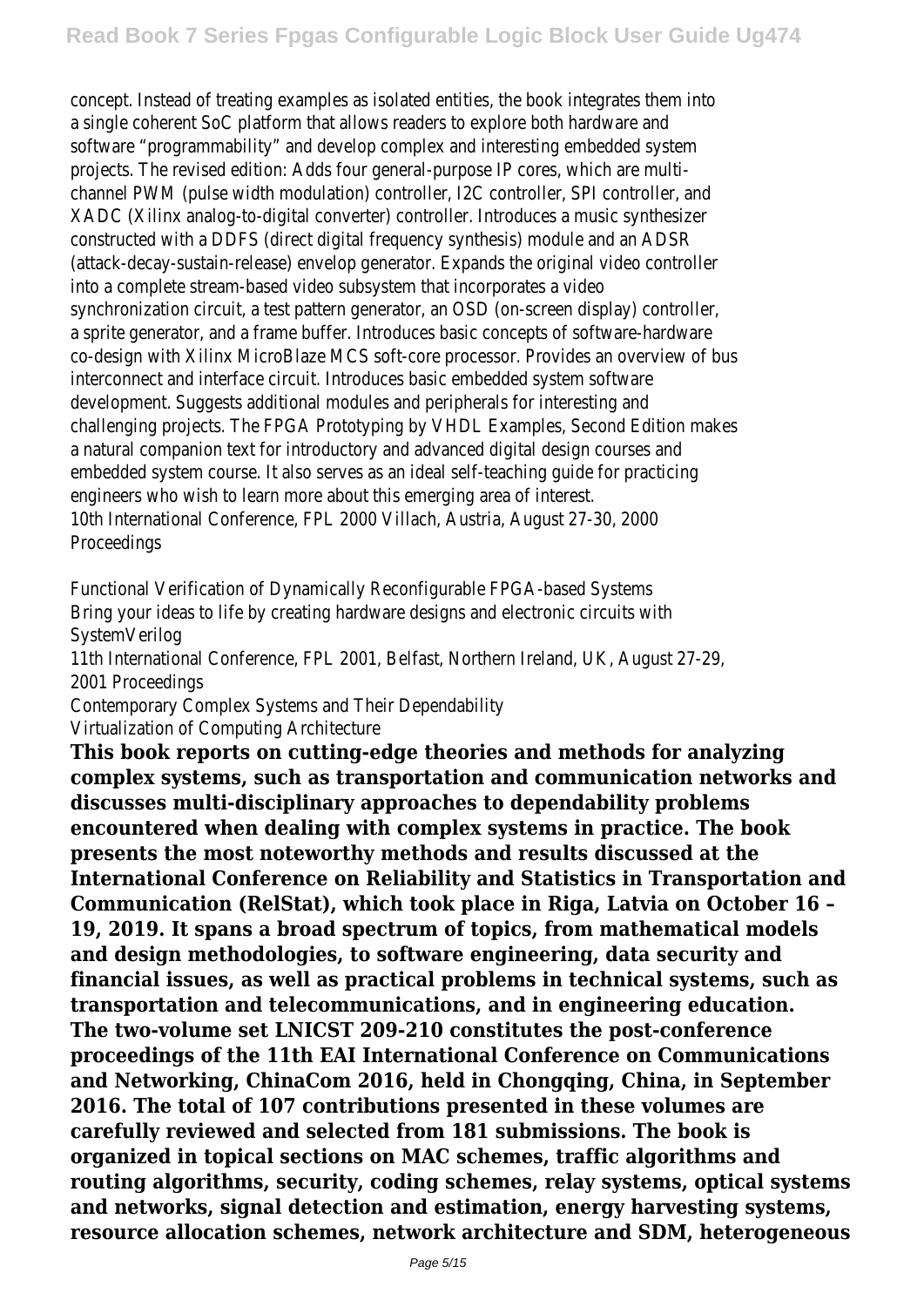concept. Instead of treating examples as isolated entities, the book integrates them in a single coherent SoC platform that allows readers to explore both hardware and software "programmability" and develop complex and interesting embedded system projects. The revised edition: Adds four general-purpose IP cores, which are multichannel PWM (pulse width modulation) controller, I2C controller, SPI controller, a XADC (Xilinx analog-to-digital converter) controller. Introduces a music synthesiz constructed with a DDFS (direct digital frequency synthesis) module and an ADS (attack-decay-sustain-release) envelop generator. Expands the original video control into a complete stream-based video subsystem that incorporates a vide synchronization circuit, a test pattern generator, an OSD (on-screen display) controlle a sprite generator, and a frame buffer. Introduces basic concepts of software-hardware co-design with Xilinx MicroBlaze MCS soft-core processor. Provides an overview of b interconnect and interface circuit. Introduces basic embedded system softwa development. Suggests additional modules and peripherals for interesting and challenging projects. The FPGA Prototyping by VHDL Examples, Second Edition mak a natural companion text for introductory and advanced digital design courses a embedded system course. It also serves as an ideal self-teaching quide for practicing engineers who wish to learn more about this emerging area of interest. 10th International Conference, FPL 2000 Villach, Austria, August 27-30, 200 Proceedings

Functional Verification of Dynamically Reconfigurable FPGA-based Systen Bring your ideas to life by creating hardware designs and electronic circuits with SystemVerilog

11th International Conference, FPL 2001, Belfast, Northern Ireland, UK, August 27-2 2001 Proceedings

Contemporary Complex Systems and Their Dependabilit

Virtualization of Computing Architecture

**This book reports on cutting-edge theories and methods for analyzing complex systems, such as transportation and communication networks and discusses multi-disciplinary approaches to dependability problems encountered when dealing with complex systems in practice. The book presents the most noteworthy methods and results discussed at the International Conference on Reliability and Statistics in Transportation and Communication (RelStat), which took place in Riga, Latvia on October 16 – 19, 2019. It spans a broad spectrum of topics, from mathematical models and design methodologies, to software engineering, data security and financial issues, as well as practical problems in technical systems, such as transportation and telecommunications, and in engineering education. The two-volume set LNICST 209-210 constitutes the post-conference proceedings of the 11th EAI International Conference on Communications and Networking, ChinaCom 2016, held in Chongqing, China, in September 2016. The total of 107 contributions presented in these volumes are carefully reviewed and selected from 181 submissions. The book is organized in topical sections on MAC schemes, traffic algorithms and routing algorithms, security, coding schemes, relay systems, optical systems and networks, signal detection and estimation, energy harvesting systems, resource allocation schemes, network architecture and SDM, heterogeneous**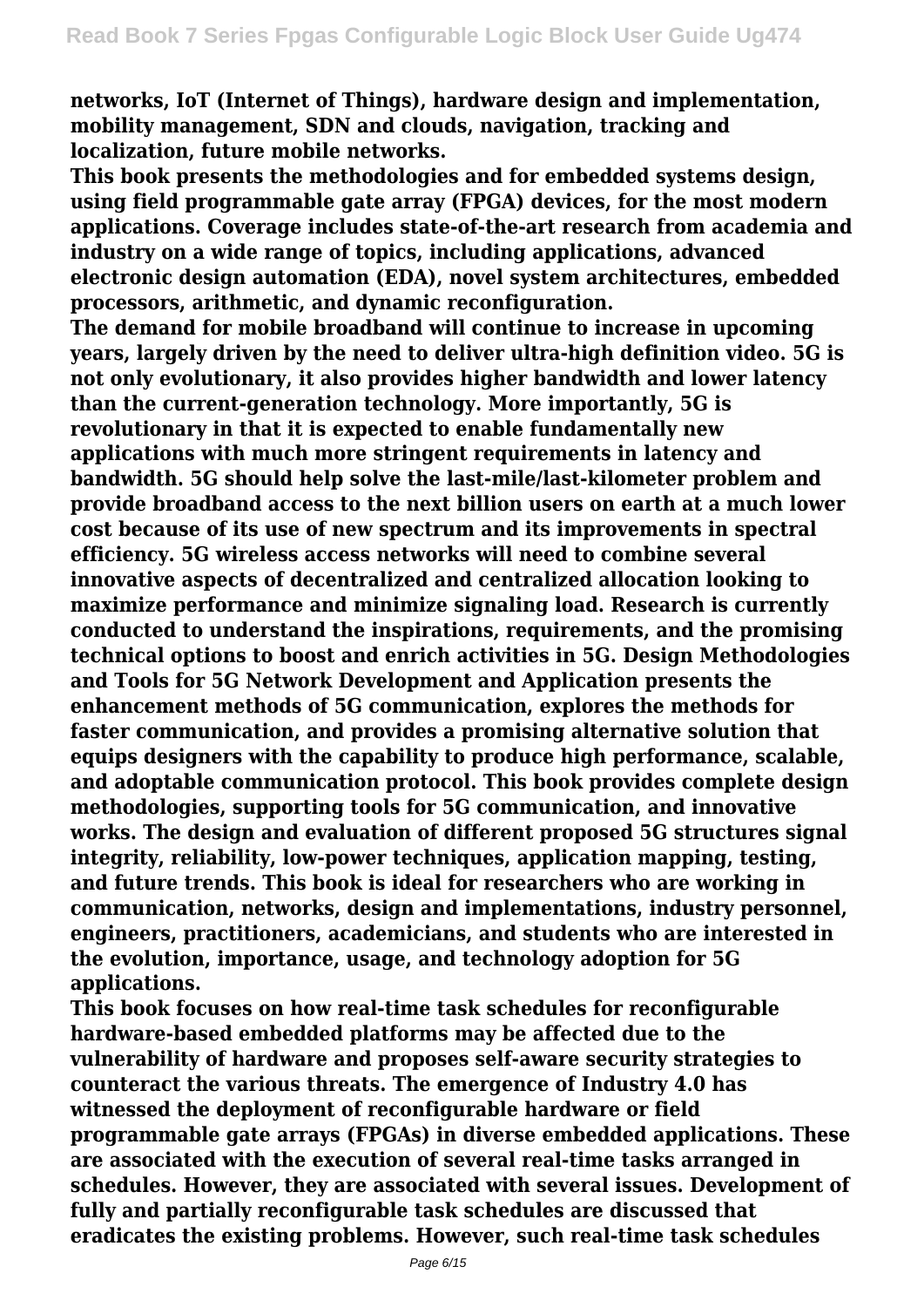**networks, IoT (Internet of Things), hardware design and implementation, mobility management, SDN and clouds, navigation, tracking and localization, future mobile networks.**

**This book presents the methodologies and for embedded systems design, using field programmable gate array (FPGA) devices, for the most modern applications. Coverage includes state-of-the-art research from academia and industry on a wide range of topics, including applications, advanced electronic design automation (EDA), novel system architectures, embedded processors, arithmetic, and dynamic reconfiguration.**

**The demand for mobile broadband will continue to increase in upcoming years, largely driven by the need to deliver ultra-high definition video. 5G is not only evolutionary, it also provides higher bandwidth and lower latency than the current-generation technology. More importantly, 5G is revolutionary in that it is expected to enable fundamentally new applications with much more stringent requirements in latency and bandwidth. 5G should help solve the last-mile/last-kilometer problem and provide broadband access to the next billion users on earth at a much lower cost because of its use of new spectrum and its improvements in spectral efficiency. 5G wireless access networks will need to combine several innovative aspects of decentralized and centralized allocation looking to maximize performance and minimize signaling load. Research is currently conducted to understand the inspirations, requirements, and the promising technical options to boost and enrich activities in 5G. Design Methodologies and Tools for 5G Network Development and Application presents the enhancement methods of 5G communication, explores the methods for faster communication, and provides a promising alternative solution that equips designers with the capability to produce high performance, scalable, and adoptable communication protocol. This book provides complete design methodologies, supporting tools for 5G communication, and innovative works. The design and evaluation of different proposed 5G structures signal integrity, reliability, low-power techniques, application mapping, testing, and future trends. This book is ideal for researchers who are working in communication, networks, design and implementations, industry personnel, engineers, practitioners, academicians, and students who are interested in the evolution, importance, usage, and technology adoption for 5G applications.**

**This book focuses on how real-time task schedules for reconfigurable hardware-based embedded platforms may be affected due to the vulnerability of hardware and proposes self-aware security strategies to counteract the various threats. The emergence of Industry 4.0 has witnessed the deployment of reconfigurable hardware or field programmable gate arrays (FPGAs) in diverse embedded applications. These are associated with the execution of several real-time tasks arranged in schedules. However, they are associated with several issues. Development of fully and partially reconfigurable task schedules are discussed that eradicates the existing problems. However, such real-time task schedules**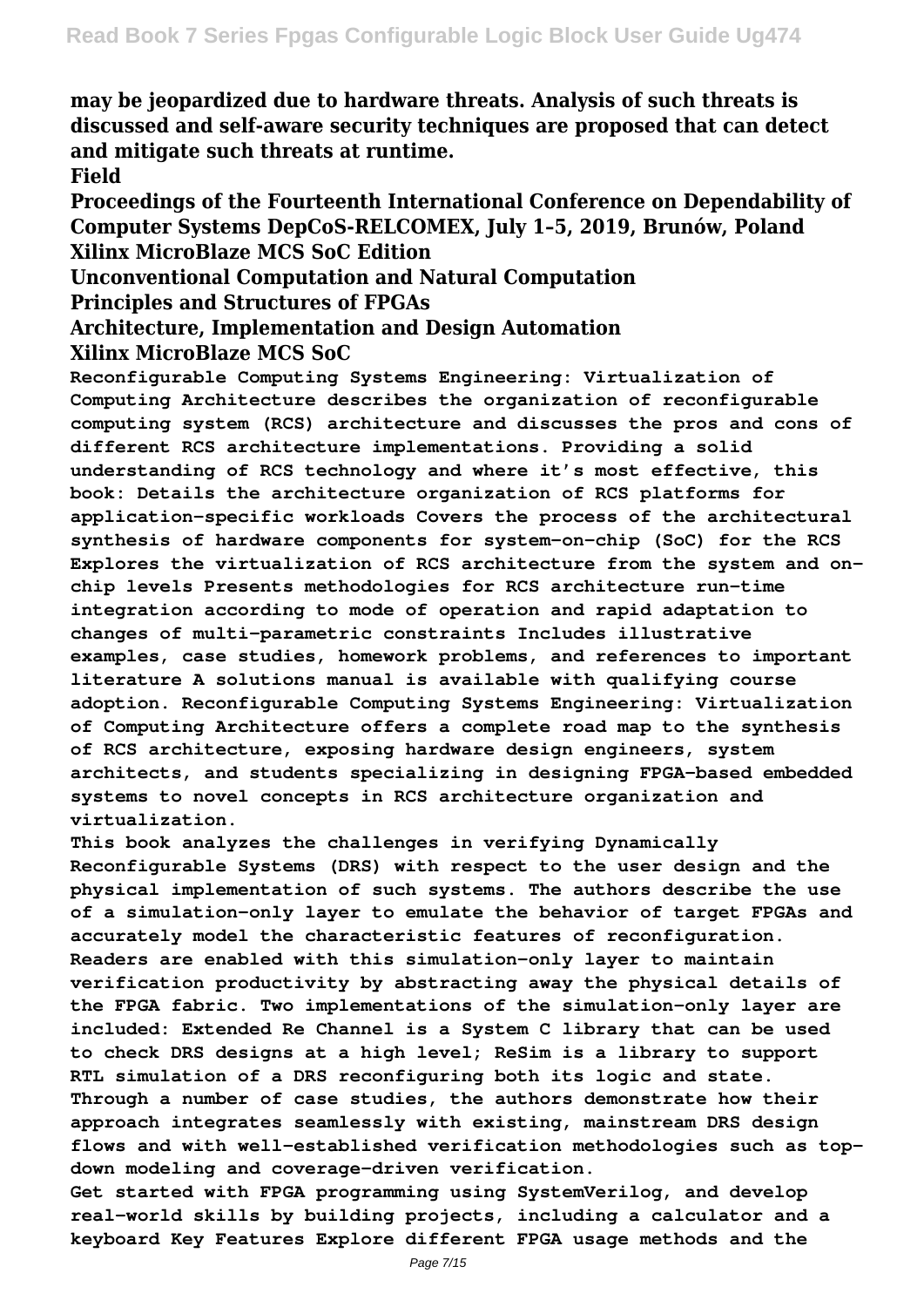**may be jeopardized due to hardware threats. Analysis of such threats is discussed and self-aware security techniques are proposed that can detect and mitigate such threats at runtime.**

**Field**

**Proceedings of the Fourteenth International Conference on Dependability of Computer Systems DepCoS-RELCOMEX, July 1–5, 2019, Brunów, Poland Xilinx MicroBlaze MCS SoC Edition**

**Unconventional Computation and Natural Computation**

**Principles and Structures of FPGAs**

**Architecture, Implementation and Design Automation Xilinx MicroBlaze MCS SoC**

**Reconfigurable Computing Systems Engineering: Virtualization of Computing Architecture describes the organization of reconfigurable computing system (RCS) architecture and discusses the pros and cons of different RCS architecture implementations. Providing a solid understanding of RCS technology and where it's most effective, this book: Details the architecture organization of RCS platforms for application-specific workloads Covers the process of the architectural synthesis of hardware components for system-on-chip (SoC) for the RCS Explores the virtualization of RCS architecture from the system and onchip levels Presents methodologies for RCS architecture run-time integration according to mode of operation and rapid adaptation to changes of multi-parametric constraints Includes illustrative examples, case studies, homework problems, and references to important literature A solutions manual is available with qualifying course adoption. Reconfigurable Computing Systems Engineering: Virtualization of Computing Architecture offers a complete road map to the synthesis of RCS architecture, exposing hardware design engineers, system architects, and students specializing in designing FPGA-based embedded systems to novel concepts in RCS architecture organization and virtualization.**

**This book analyzes the challenges in verifying Dynamically Reconfigurable Systems (DRS) with respect to the user design and the physical implementation of such systems. The authors describe the use of a simulation-only layer to emulate the behavior of target FPGAs and accurately model the characteristic features of reconfiguration. Readers are enabled with this simulation-only layer to maintain verification productivity by abstracting away the physical details of the FPGA fabric. Two implementations of the simulation-only layer are included: Extended Re Channel is a System C library that can be used to check DRS designs at a high level; ReSim is a library to support RTL simulation of a DRS reconfiguring both its logic and state. Through a number of case studies, the authors demonstrate how their approach integrates seamlessly with existing, mainstream DRS design flows and with well-established verification methodologies such as topdown modeling and coverage-driven verification.**

**Get started with FPGA programming using SystemVerilog, and develop real-world skills by building projects, including a calculator and a keyboard Key Features Explore different FPGA usage methods and the**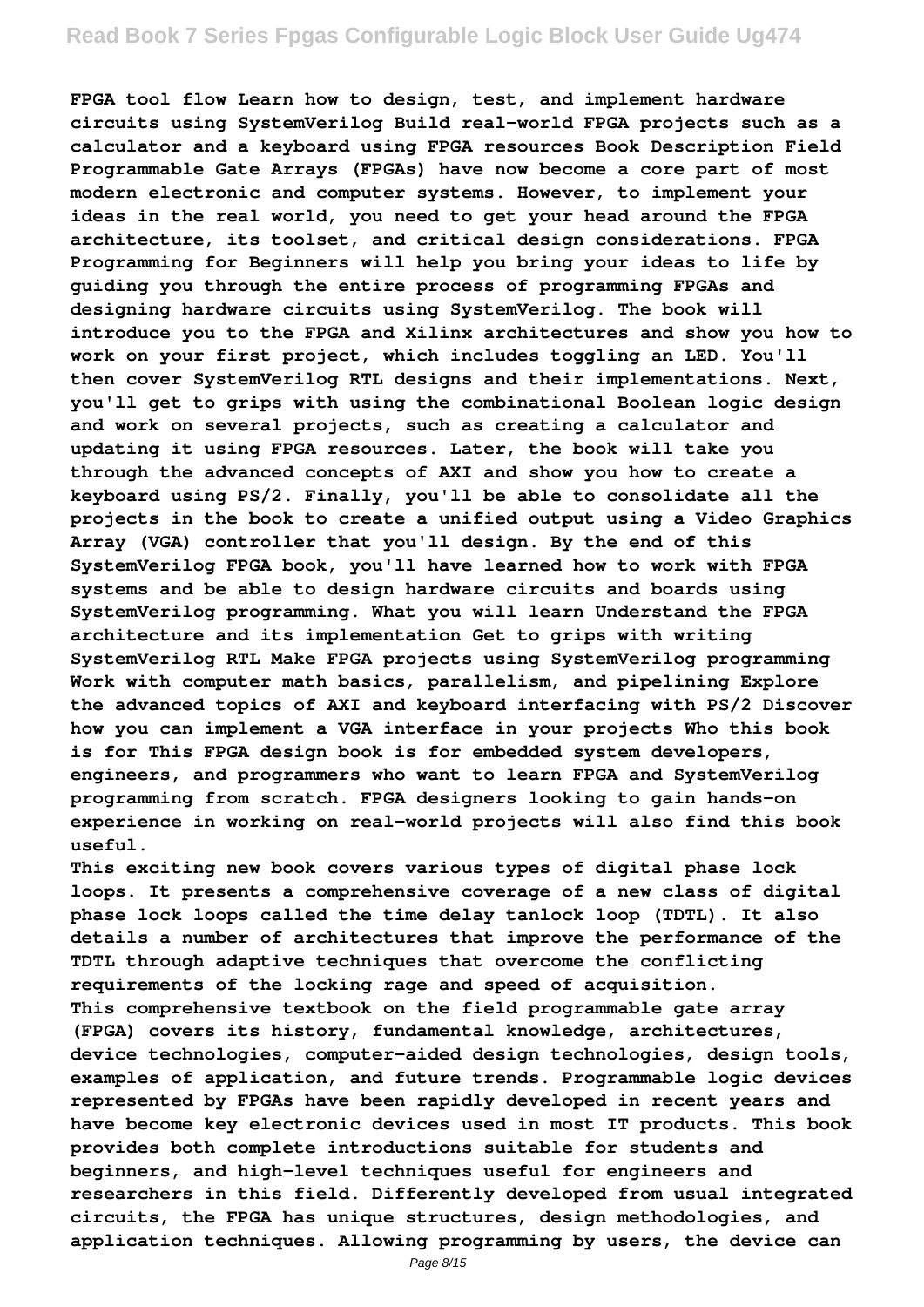**FPGA tool flow Learn how to design, test, and implement hardware circuits using SystemVerilog Build real-world FPGA projects such as a calculator and a keyboard using FPGA resources Book Description Field Programmable Gate Arrays (FPGAs) have now become a core part of most modern electronic and computer systems. However, to implement your ideas in the real world, you need to get your head around the FPGA architecture, its toolset, and critical design considerations. FPGA Programming for Beginners will help you bring your ideas to life by guiding you through the entire process of programming FPGAs and designing hardware circuits using SystemVerilog. The book will introduce you to the FPGA and Xilinx architectures and show you how to work on your first project, which includes toggling an LED. You'll then cover SystemVerilog RTL designs and their implementations. Next, you'll get to grips with using the combinational Boolean logic design and work on several projects, such as creating a calculator and updating it using FPGA resources. Later, the book will take you through the advanced concepts of AXI and show you how to create a keyboard using PS/2. Finally, you'll be able to consolidate all the projects in the book to create a unified output using a Video Graphics Array (VGA) controller that you'll design. By the end of this SystemVerilog FPGA book, you'll have learned how to work with FPGA systems and be able to design hardware circuits and boards using SystemVerilog programming. What you will learn Understand the FPGA architecture and its implementation Get to grips with writing SystemVerilog RTL Make FPGA projects using SystemVerilog programming Work with computer math basics, parallelism, and pipelining Explore the advanced topics of AXI and keyboard interfacing with PS/2 Discover how you can implement a VGA interface in your projects Who this book is for This FPGA design book is for embedded system developers, engineers, and programmers who want to learn FPGA and SystemVerilog programming from scratch. FPGA designers looking to gain hands-on experience in working on real-world projects will also find this book useful.**

**This exciting new book covers various types of digital phase lock loops. It presents a comprehensive coverage of a new class of digital phase lock loops called the time delay tanlock loop (TDTL). It also details a number of architectures that improve the performance of the TDTL through adaptive techniques that overcome the conflicting requirements of the locking rage and speed of acquisition. This comprehensive textbook on the field programmable gate array (FPGA) covers its history, fundamental knowledge, architectures, device technologies, computer-aided design technologies, design tools, examples of application, and future trends. Programmable logic devices represented by FPGAs have been rapidly developed in recent years and have become key electronic devices used in most IT products. This book provides both complete introductions suitable for students and beginners, and high-level techniques useful for engineers and researchers in this field. Differently developed from usual integrated circuits, the FPGA has unique structures, design methodologies, and application techniques. Allowing programming by users, the device can**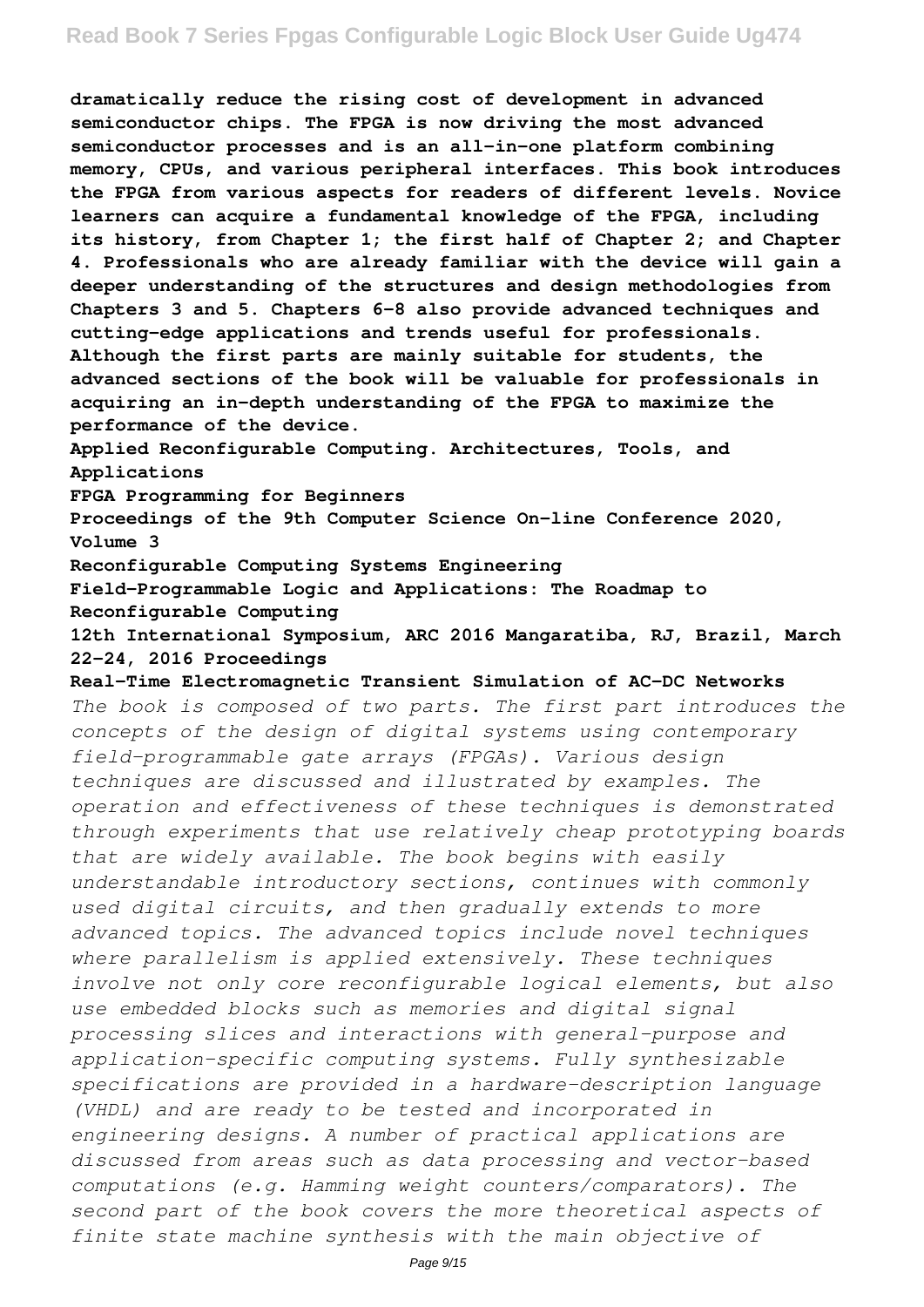**dramatically reduce the rising cost of development in advanced semiconductor chips. The FPGA is now driving the most advanced semiconductor processes and is an all-in-one platform combining memory, CPUs, and various peripheral interfaces. This book introduces the FPGA from various aspects for readers of different levels. Novice learners can acquire a fundamental knowledge of the FPGA, including its history, from Chapter 1; the first half of Chapter 2; and Chapter 4. Professionals who are already familiar with the device will gain a deeper understanding of the structures and design methodologies from Chapters 3 and 5. Chapters 6–8 also provide advanced techniques and cutting-edge applications and trends useful for professionals. Although the first parts are mainly suitable for students, the advanced sections of the book will be valuable for professionals in acquiring an in-depth understanding of the FPGA to maximize the performance of the device. Applied Reconfigurable Computing. Architectures, Tools, and Applications FPGA Programming for Beginners Proceedings of the 9th Computer Science On-line Conference 2020, Volume 3 Reconfigurable Computing Systems Engineering Field-Programmable Logic and Applications: The Roadmap to Reconfigurable Computing 12th International Symposium, ARC 2016 Mangaratiba, RJ, Brazil, March 22–24, 2016 Proceedings Real-Time Electromagnetic Transient Simulation of AC-DC Networks** *The book is composed of two parts. The first part introduces the concepts of the design of digital systems using contemporary field-programmable gate arrays (FPGAs). Various design techniques are discussed and illustrated by examples. The operation and effectiveness of these techniques is demonstrated through experiments that use relatively cheap prototyping boards that are widely available. The book begins with easily understandable introductory sections, continues with commonly used digital circuits, and then gradually extends to more advanced topics. The advanced topics include novel techniques where parallelism is applied extensively. These techniques involve not only core reconfigurable logical elements, but also use embedded blocks such as memories and digital signal processing slices and interactions with general-purpose and application-specific computing systems. Fully synthesizable specifications are provided in a hardware-description language (VHDL) and are ready to be tested and incorporated in engineering designs. A number of practical applications are discussed from areas such as data processing and vector-based computations (e.g. Hamming weight counters/comparators). The second part of the book covers the more theoretical aspects of finite state machine synthesis with the main objective of*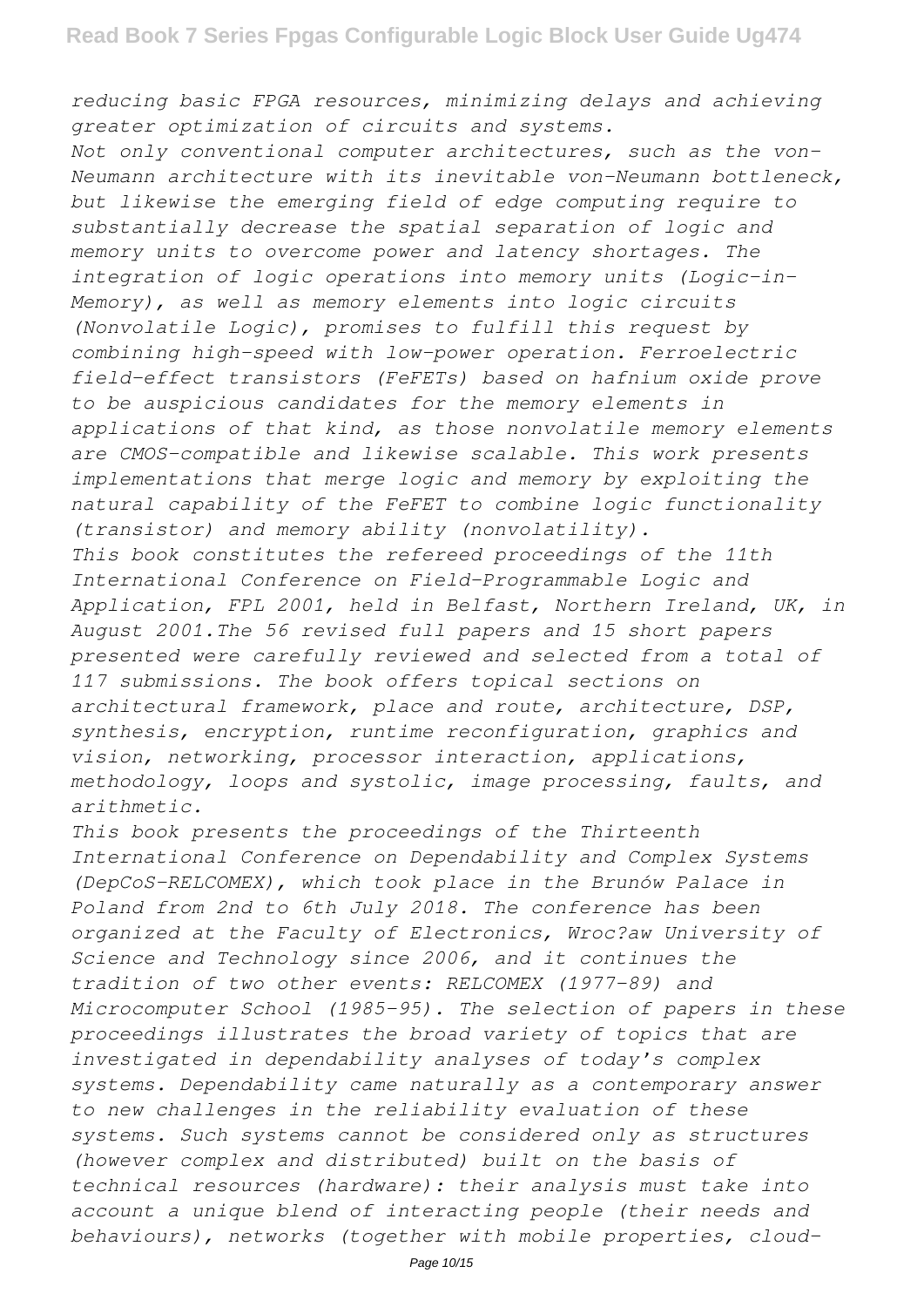#### *reducing basic FPGA resources, minimizing delays and achieving greater optimization of circuits and systems.*

*Not only conventional computer architectures, such as the von-Neumann architecture with its inevitable von-Neumann bottleneck, but likewise the emerging field of edge computing require to substantially decrease the spatial separation of logic and memory units to overcome power and latency shortages. The integration of logic operations into memory units (Logic-in-Memory), as well as memory elements into logic circuits (Nonvolatile Logic), promises to fulfill this request by combining high-speed with low-power operation. Ferroelectric field-effect transistors (FeFETs) based on hafnium oxide prove to be auspicious candidates for the memory elements in applications of that kind, as those nonvolatile memory elements are CMOS-compatible and likewise scalable. This work presents implementations that merge logic and memory by exploiting the natural capability of the FeFET to combine logic functionality (transistor) and memory ability (nonvolatility). This book constitutes the refereed proceedings of the 11th International Conference on Field-Programmable Logic and Application, FPL 2001, held in Belfast, Northern Ireland, UK, in August 2001.The 56 revised full papers and 15 short papers presented were carefully reviewed and selected from a total of 117 submissions. The book offers topical sections on architectural framework, place and route, architecture, DSP, synthesis, encryption, runtime reconfiguration, graphics and*

*vision, networking, processor interaction, applications, methodology, loops and systolic, image processing, faults, and arithmetic.*

*This book presents the proceedings of the Thirteenth International Conference on Dependability and Complex Systems (DepCoS-RELCOMEX), which took place in the Brunów Palace in Poland from 2nd to 6th July 2018. The conference has been organized at the Faculty of Electronics, Wroc?aw University of Science and Technology since 2006, and it continues the tradition of two other events: RELCOMEX (1977–89) and Microcomputer School (1985–95). The selection of papers in these proceedings illustrates the broad variety of topics that are investigated in dependability analyses of today's complex systems. Dependability came naturally as a contemporary answer to new challenges in the reliability evaluation of these systems. Such systems cannot be considered only as structures (however complex and distributed) built on the basis of technical resources (hardware): their analysis must take into account a unique blend of interacting people (their needs and behaviours), networks (together with mobile properties, cloud-*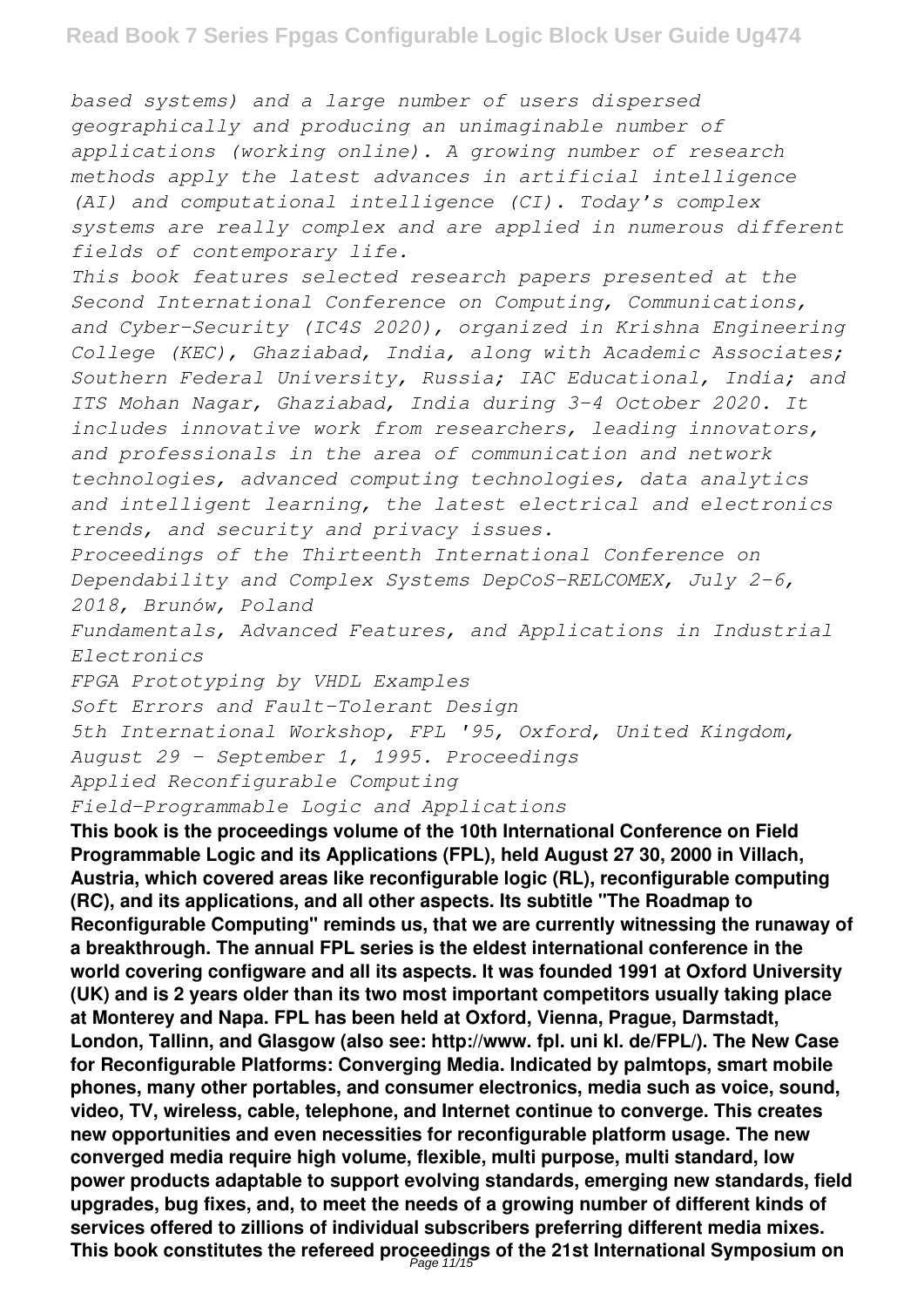*based systems) and a large number of users dispersed geographically and producing an unimaginable number of applications (working online). A growing number of research methods apply the latest advances in artificial intelligence (AI) and computational intelligence (CI). Today's complex systems are really complex and are applied in numerous different fields of contemporary life.*

*This book features selected research papers presented at the Second International Conference on Computing, Communications, and Cyber-Security (IC4S 2020), organized in Krishna Engineering College (KEC), Ghaziabad, India, along with Academic Associates; Southern Federal University, Russia; IAC Educational, India; and ITS Mohan Nagar, Ghaziabad, India during 3–4 October 2020. It includes innovative work from researchers, leading innovators, and professionals in the area of communication and network technologies, advanced computing technologies, data analytics and intelligent learning, the latest electrical and electronics trends, and security and privacy issues.*

*Proceedings of the Thirteenth International Conference on Dependability and Complex Systems DepCoS-RELCOMEX, July 2-6, 2018, Brunów, Poland*

*Fundamentals, Advanced Features, and Applications in Industrial Electronics*

*FPGA Prototyping by VHDL Examples*

*Soft Errors and Fault-Tolerant Design*

*5th International Workshop, FPL '95, Oxford, United Kingdom, August 29 - September 1, 1995. Proceedings*

*Applied Reconfigurable Computing*

*Field-Programmable Logic and Applications*

**This book is the proceedings volume of the 10th International Conference on Field Programmable Logic and its Applications (FPL), held August 27 30, 2000 in Villach, Austria, which covered areas like reconfigurable logic (RL), reconfigurable computing (RC), and its applications, and all other aspects. Its subtitle "The Roadmap to Reconfigurable Computing" reminds us, that we are currently witnessing the runaway of a breakthrough. The annual FPL series is the eldest international conference in the world covering configware and all its aspects. It was founded 1991 at Oxford University (UK) and is 2 years older than its two most important competitors usually taking place at Monterey and Napa. FPL has been held at Oxford, Vienna, Prague, Darmstadt, London, Tallinn, and Glasgow (also see: http://www. fpl. uni kl. de/FPL/). The New Case for Reconfigurable Platforms: Converging Media. Indicated by palmtops, smart mobile phones, many other portables, and consumer electronics, media such as voice, sound, video, TV, wireless, cable, telephone, and Internet continue to converge. This creates new opportunities and even necessities for reconfigurable platform usage. The new converged media require high volume, flexible, multi purpose, multi standard, low power products adaptable to support evolving standards, emerging new standards, field upgrades, bug fixes, and, to meet the needs of a growing number of different kinds of services offered to zillions of individual subscribers preferring different media mixes.** This book constitutes the refereed proceedings of the 21st International Symposium on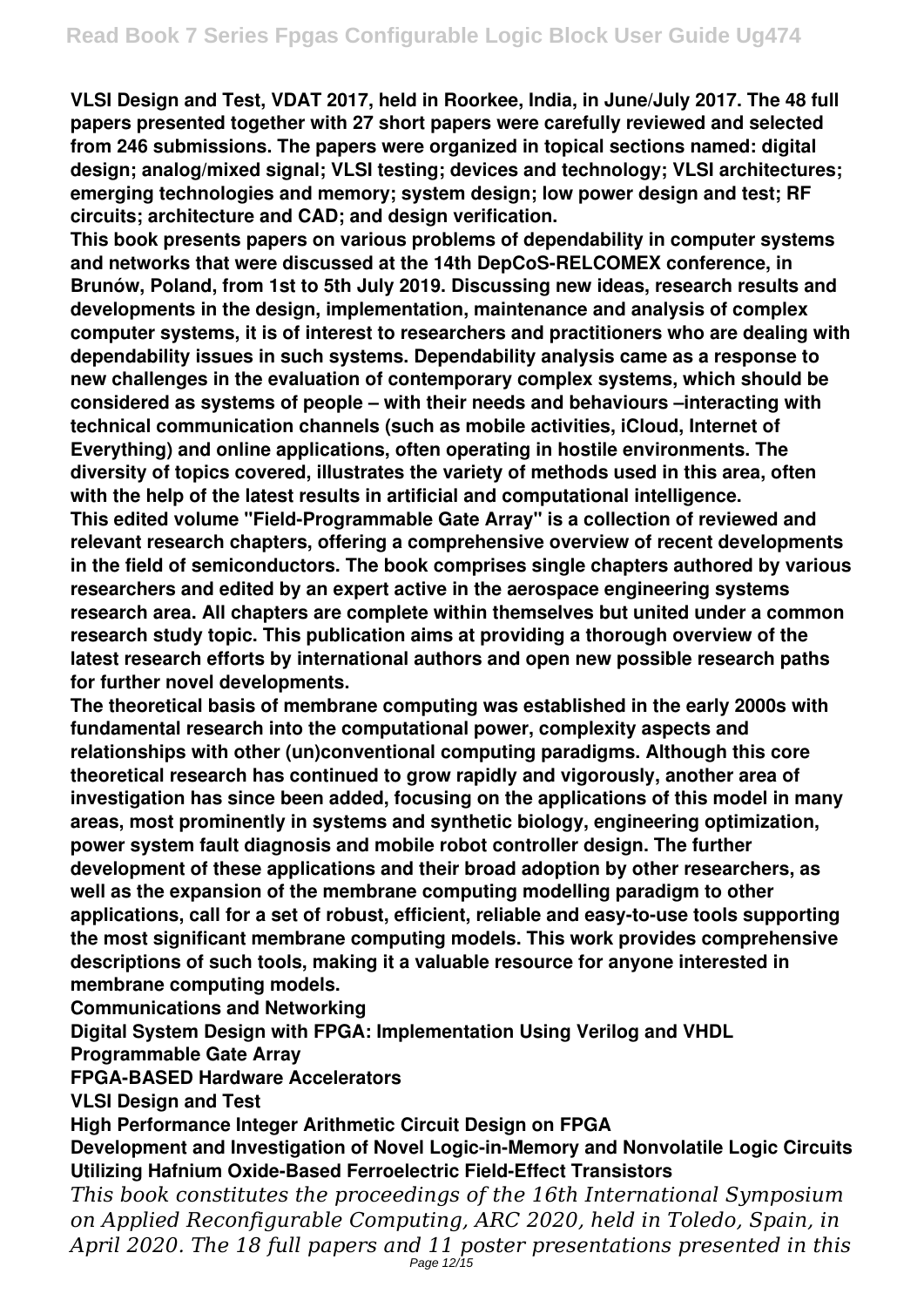**VLSI Design and Test, VDAT 2017, held in Roorkee, India, in June/July 2017. The 48 full papers presented together with 27 short papers were carefully reviewed and selected from 246 submissions. The papers were organized in topical sections named: digital design; analog/mixed signal; VLSI testing; devices and technology; VLSI architectures; emerging technologies and memory; system design; low power design and test; RF circuits; architecture and CAD; and design verification.**

**This book presents papers on various problems of dependability in computer systems and networks that were discussed at the 14th DepCoS-RELCOMEX conference, in Brunów, Poland, from 1st to 5th July 2019. Discussing new ideas, research results and developments in the design, implementation, maintenance and analysis of complex computer systems, it is of interest to researchers and practitioners who are dealing with dependability issues in such systems. Dependability analysis came as a response to new challenges in the evaluation of contemporary complex systems, which should be considered as systems of people – with their needs and behaviours –interacting with technical communication channels (such as mobile activities, iCloud, Internet of Everything) and online applications, often operating in hostile environments. The diversity of topics covered, illustrates the variety of methods used in this area, often with the help of the latest results in artificial and computational intelligence. This edited volume "Field-Programmable Gate Array" is a collection of reviewed and relevant research chapters, offering a comprehensive overview of recent developments in the field of semiconductors. The book comprises single chapters authored by various researchers and edited by an expert active in the aerospace engineering systems research area. All chapters are complete within themselves but united under a common research study topic. This publication aims at providing a thorough overview of the latest research efforts by international authors and open new possible research paths for further novel developments.**

**The theoretical basis of membrane computing was established in the early 2000s with fundamental research into the computational power, complexity aspects and relationships with other (un)conventional computing paradigms. Although this core theoretical research has continued to grow rapidly and vigorously, another area of investigation has since been added, focusing on the applications of this model in many areas, most prominently in systems and synthetic biology, engineering optimization, power system fault diagnosis and mobile robot controller design. The further development of these applications and their broad adoption by other researchers, as well as the expansion of the membrane computing modelling paradigm to other applications, call for a set of robust, efficient, reliable and easy-to-use tools supporting the most significant membrane computing models. This work provides comprehensive descriptions of such tools, making it a valuable resource for anyone interested in membrane computing models.**

**Communications and Networking**

**Digital System Design with FPGA: Implementation Using Verilog and VHDL Programmable Gate Array**

**FPGA-BASED Hardware Accelerators**

**VLSI Design and Test**

**High Performance Integer Arithmetic Circuit Design on FPGA**

# **Development and Investigation of Novel Logic-in-Memory and Nonvolatile Logic Circuits Utilizing Hafnium Oxide-Based Ferroelectric Field-Effect Transistors**

*This book constitutes the proceedings of the 16th International Symposium on Applied Reconfigurable Computing, ARC 2020, held in Toledo, Spain, in April 2020. The 18 full papers and 11 poster presentations presented in this* Page 12/15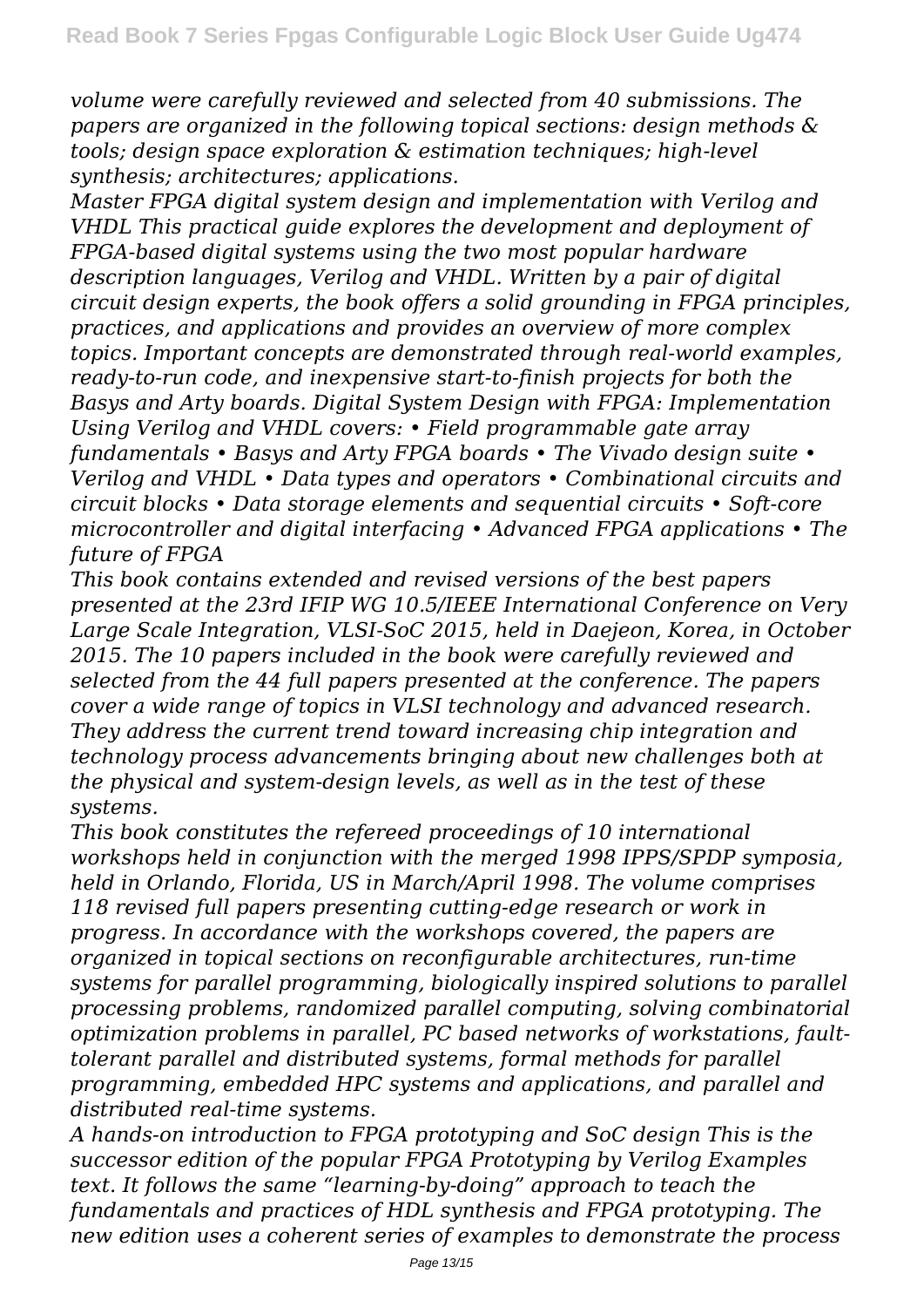*volume were carefully reviewed and selected from 40 submissions. The papers are organized in the following topical sections: design methods & tools; design space exploration & estimation techniques; high-level synthesis; architectures; applications.*

*Master FPGA digital system design and implementation with Verilog and VHDL This practical guide explores the development and deployment of FPGA-based digital systems using the two most popular hardware description languages, Verilog and VHDL. Written by a pair of digital circuit design experts, the book offers a solid grounding in FPGA principles, practices, and applications and provides an overview of more complex topics. Important concepts are demonstrated through real-world examples, ready-to-run code, and inexpensive start-to-finish projects for both the Basys and Arty boards. Digital System Design with FPGA: Implementation Using Verilog and VHDL covers: • Field programmable gate array fundamentals • Basys and Arty FPGA boards • The Vivado design suite • Verilog and VHDL • Data types and operators • Combinational circuits and circuit blocks • Data storage elements and sequential circuits • Soft-core microcontroller and digital interfacing • Advanced FPGA applications • The future of FPGA*

*This book contains extended and revised versions of the best papers presented at the 23rd IFIP WG 10.5/IEEE International Conference on Very Large Scale Integration, VLSI-SoC 2015, held in Daejeon, Korea, in October 2015. The 10 papers included in the book were carefully reviewed and selected from the 44 full papers presented at the conference. The papers cover a wide range of topics in VLSI technology and advanced research. They address the current trend toward increasing chip integration and technology process advancements bringing about new challenges both at the physical and system-design levels, as well as in the test of these systems.*

*This book constitutes the refereed proceedings of 10 international workshops held in conjunction with the merged 1998 IPPS/SPDP symposia, held in Orlando, Florida, US in March/April 1998. The volume comprises 118 revised full papers presenting cutting-edge research or work in progress. In accordance with the workshops covered, the papers are organized in topical sections on reconfigurable architectures, run-time systems for parallel programming, biologically inspired solutions to parallel processing problems, randomized parallel computing, solving combinatorial optimization problems in parallel, PC based networks of workstations, faulttolerant parallel and distributed systems, formal methods for parallel programming, embedded HPC systems and applications, and parallel and distributed real-time systems.*

*A hands-on introduction to FPGA prototyping and SoC design This is the successor edition of the popular FPGA Prototyping by Verilog Examples text. It follows the same "learning-by-doing" approach to teach the fundamentals and practices of HDL synthesis and FPGA prototyping. The new edition uses a coherent series of examples to demonstrate the process*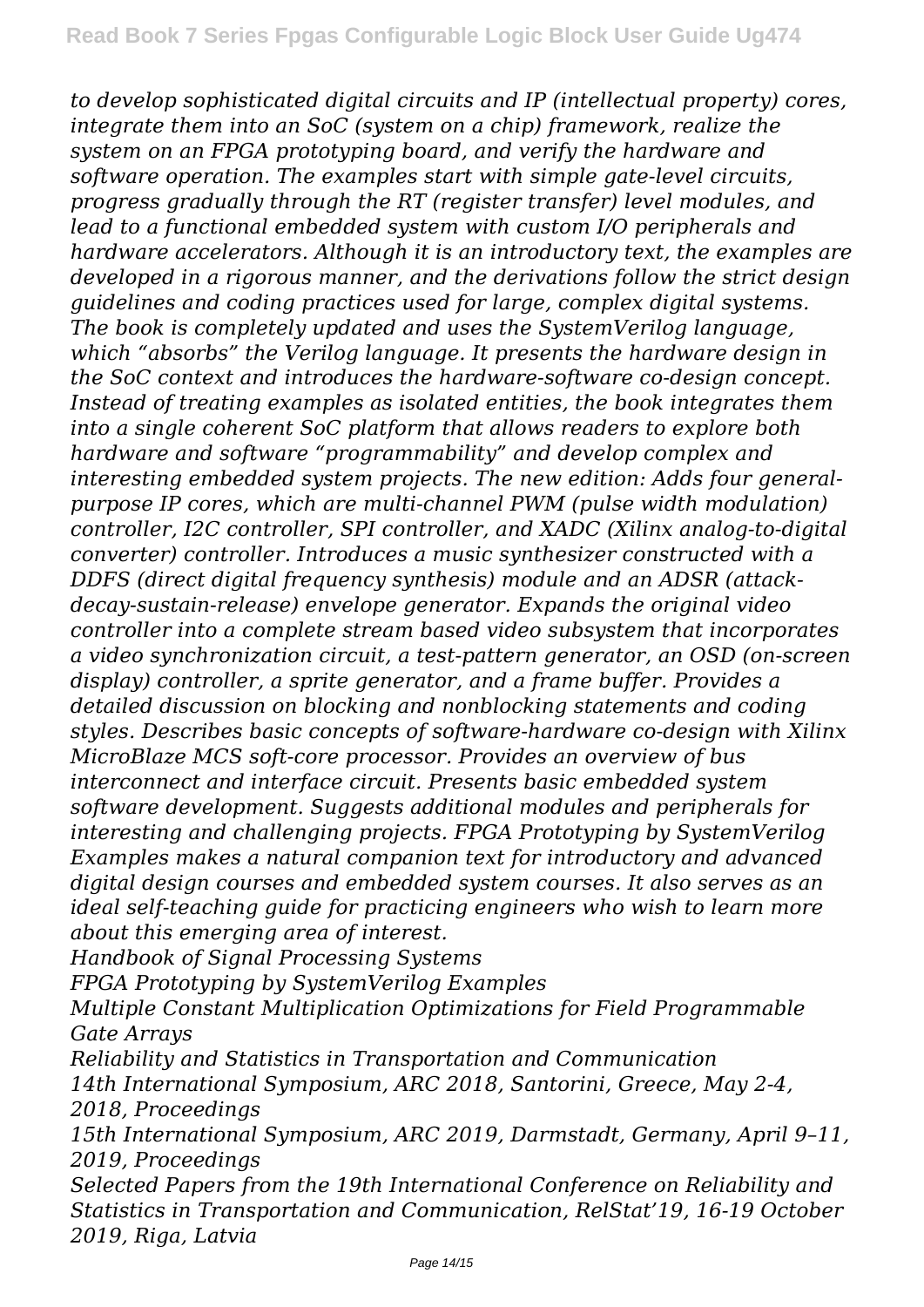*to develop sophisticated digital circuits and IP (intellectual property) cores, integrate them into an SoC (system on a chip) framework, realize the system on an FPGA prototyping board, and verify the hardware and software operation. The examples start with simple gate-level circuits, progress gradually through the RT (register transfer) level modules, and lead to a functional embedded system with custom I/O peripherals and hardware accelerators. Although it is an introductory text, the examples are developed in a rigorous manner, and the derivations follow the strict design guidelines and coding practices used for large, complex digital systems. The book is completely updated and uses the SystemVerilog language, which "absorbs" the Verilog language. It presents the hardware design in the SoC context and introduces the hardware-software co-design concept. Instead of treating examples as isolated entities, the book integrates them into a single coherent SoC platform that allows readers to explore both hardware and software "programmability" and develop complex and interesting embedded system projects. The new edition: Adds four generalpurpose IP cores, which are multi-channel PWM (pulse width modulation) controller, I2C controller, SPI controller, and XADC (Xilinx analog-to-digital converter) controller. Introduces a music synthesizer constructed with a DDFS (direct digital frequency synthesis) module and an ADSR (attackdecay-sustain-release) envelope generator. Expands the original video controller into a complete stream based video subsystem that incorporates a video synchronization circuit, a test-pattern generator, an OSD (on-screen display) controller, a sprite generator, and a frame buffer. Provides a detailed discussion on blocking and nonblocking statements and coding styles. Describes basic concepts of software-hardware co-design with Xilinx MicroBlaze MCS soft-core processor. Provides an overview of bus interconnect and interface circuit. Presents basic embedded system software development. Suggests additional modules and peripherals for interesting and challenging projects. FPGA Prototyping by SystemVerilog Examples makes a natural companion text for introductory and advanced digital design courses and embedded system courses. It also serves as an ideal self-teaching guide for practicing engineers who wish to learn more about this emerging area of interest.*

*Handbook of Signal Processing Systems*

*FPGA Prototyping by SystemVerilog Examples*

*Multiple Constant Multiplication Optimizations for Field Programmable Gate Arrays*

*Reliability and Statistics in Transportation and Communication 14th International Symposium, ARC 2018, Santorini, Greece, May 2-4, 2018, Proceedings*

*15th International Symposium, ARC 2019, Darmstadt, Germany, April 9–11, 2019, Proceedings*

*Selected Papers from the 19th International Conference on Reliability and Statistics in Transportation and Communication, RelStat'19, 16-19 October 2019, Riga, Latvia*